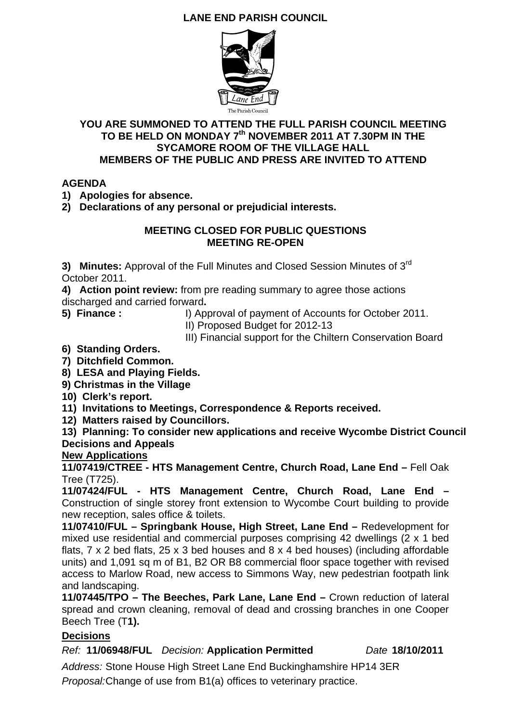## **LANE END PARISH COUNCIL**



### **YOU ARE SUMMONED TO ATTEND THE FULL PARISH COUNCIL MEETING**  TO BE HELD ON MONDAY 7<sup>th</sup> NOVEMBER 2011 AT 7.30PM IN THE **SYCAMORE ROOM OF THE VILLAGE HALL MEMBERS OF THE PUBLIC AND PRESS ARE INVITED TO ATTEND**

### **AGENDA**

**1) Apologies for absence.** 

**2) Declarations of any personal or prejudicial interests.** 

### **MEETING CLOSED FOR PUBLIC QUESTIONS MEETING RE-OPEN**

**3) Minutes:** Approval of the Full Minutes and Closed Session Minutes of 3rd October 2011.

**4) Action point review:** from pre reading summary to agree those actions discharged and carried forward**.** 

- **5) Finance :** I) Approval of payment of Accounts for October 2011.
	- II) Proposed Budget for 2012-13
	- III) Financial support for the Chiltern Conservation Board
- **6) Standing Orders.**
- **7) Ditchfield Common.**
- **8) LESA and Playing Fields.**
- **9) Christmas in the Village**
- **10) Clerk's report.**
- **11) Invitations to Meetings, Correspondence & Reports received.**
- **12) Matters raised by Councillors.**

**13) Planning: To consider new applications and receive Wycombe District Council Decisions and Appeals** 

## **New Applications**

**11/07419/CTREE - HTS Management Centre, Church Road, Lane End –** Fell Oak Tree (T725).

**11/07424/FUL - HTS Management Centre, Church Road, Lane End –**  Construction of single storey front extension to Wycombe Court building to provide new reception, sales office & toilets.

**11/07410/FUL – Springbank House, High Street, Lane End –** Redevelopment for mixed use residential and commercial purposes comprising 42 dwellings (2 x 1 bed flats, 7 x 2 bed flats, 25 x 3 bed houses and 8 x 4 bed houses) (including affordable units) and 1,091 sq m of B1, B2 OR B8 commercial floor space together with revised access to Marlow Road, new access to Simmons Way, new pedestrian footpath link and landscaping.

**11/07445/TPO – The Beeches, Park Lane, Lane End –** Crown reduction of lateral spread and crown cleaning, removal of dead and crossing branches in one Cooper Beech Tree (T**1).** 

## **Decisions**

*Ref:* **11/06948/FUL** *Decision:* **Application Permitted** *Date* **18/10/2011** 

*Address:* Stone House High Street Lane End Buckinghamshire HP14 3ER *Proposal:*Change of use from B1(a) offices to veterinary practice.